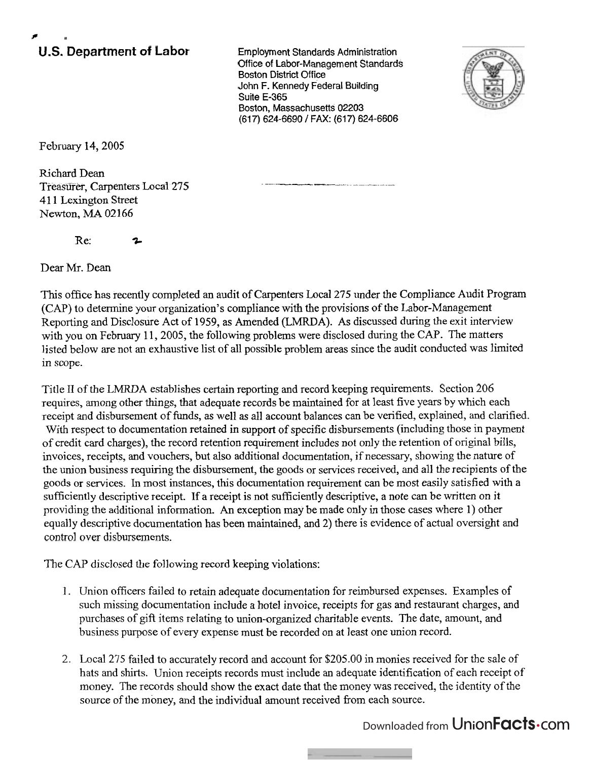## **P U.S. Department of Labor** Employment Standards Administration

Office of Labor-Management Standards **Boston District Office** John F. Kennedy Federal Building Suite E-365 Boston, Massachusetts 02203 (617) 624-6690 / FAX: (617) 624-6606



February 14,2005

Richard Dean Treasurer, Carpenters Local 275 4 1 1 Lexington Street Newton, MA 02166

Re: **3-** 

Dear Mr. Dean

This office has recently completed an audit of Carpenters Local 275 under the Compliance Audit Program *(CAP)* to determine your organization's compliance with the provisions of the Labor-Management Reporting and Disclosure Act of 1959, as Amended (LMRDA). As discussed during the exit interview with you on February 11,2005, the following problems were disclosed during the **CAP.** The matters listed below are not an exhaustive list of all possible problem areas since the audit conducted was limited in scope.

Title I1 of the LMRDA establishes certain reporting and record keeping requirements. Section 206 requires, among other things, that adequate records be maintained for at least five years by which each receipt and disbursement of funds, as well as all account balances can be verified, explained, and clarified. With respect to documentation retained in support of specific disbursements (including those in payment of credit card charges), the record retention requirement includes not only the retention of original bills, invoices, receipts, and vouchers, but also additional documentation, if necessary, showing the nature of the union business requiring the disbursement, the goods or services received, and all the recipients of the goods or services. In most instances, this documentation requirement can be most easily satisfied with a sufficiently descriptive receipt. If a receipt is not sufficiently descriptive, a note can be written on it providing the additional information. An exception may be made only in those cases where 1) other equally descriptive documentation has been maintained, and 2) there is evidence of actual oversight and control over disbursements.

The CAP disclosed the following record keeping violations:

- 1. Union officers failed to retain adequate documentation for reimbursed expenses. Examples of such missing documentation include a hotel invoice, receipts for gas and restaurant charges, and purchases of gift items relating to union-organized charitable events. The date, amount, and business purpose of every expense must be recorded on at least one union record.
- 2. Local 275 failed to accurately record and account for \$205.00 in monies received for the sale of hats and shirts. Union receipts records must include an adequate identification of each receipt of money. The records should show the exact date that the money was received, the identity of the source of the money, and the individual amount received from each source.

Downloaded from UnionFacts.com